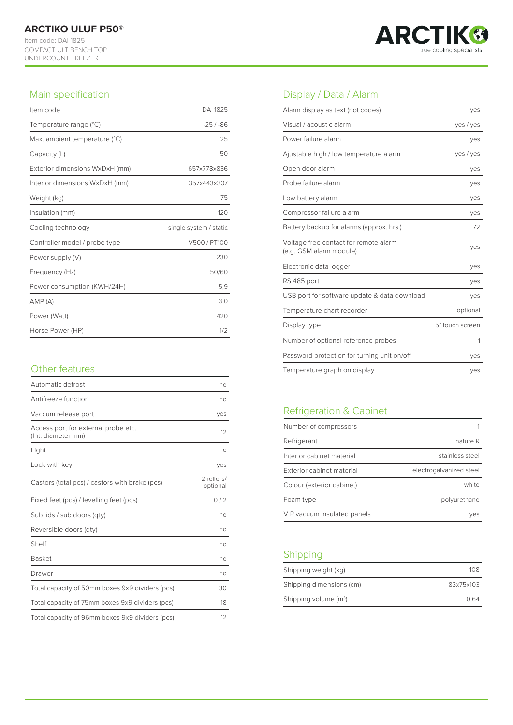

### Main specification

UNDERCOUNT FREEZER

| Item code                      | DAI 1825               |
|--------------------------------|------------------------|
| Temperature range (°C)         | $-25/ - 86$            |
| Max. ambient temperature (°C)  | 25                     |
| Capacity (L)                   | 50                     |
| Exterior dimensions WxDxH (mm) | 657x778x836            |
| Interior dimensions WxDxH (mm) | 357x443x307            |
| Weight (kg)                    | 75                     |
| Insulation (mm)                | 120                    |
|                                |                        |
| Cooling technology             | single system / static |
| Controller model / probe type  | V500 / PT100           |
| Power supply (V)               | 230                    |
| Frequency (Hz)                 | 50/60                  |
| Power consumption (KWH/24H)    | 5,9                    |
| AMP(A)                         | 3,0                    |
| Power (Watt)                   | 420                    |

# Other features Temperature graph on display yes

| Automatic defrost                                         | no                     |
|-----------------------------------------------------------|------------------------|
| Antifreeze function                                       | no                     |
| Vaccum release port                                       | yes                    |
| Access port for external probe etc.<br>(Int. diameter mm) | $12^{1}$               |
| Light                                                     | no                     |
| Lock with key                                             | yes                    |
| Castors (total pcs) / castors with brake (pcs)            | 2 rollers/<br>optional |
| Fixed feet (pcs) / levelling feet (pcs)                   | 0/2                    |
| Sub lids / sub doors (qty)                                | no                     |
| Reversible doors (qty)                                    | no                     |
| Shelf                                                     | no                     |
| <b>Basket</b>                                             | no                     |
| Drawer                                                    | no                     |
| Total capacity of 50mm boxes 9x9 dividers (pcs)           | 30                     |
| Total capacity of 75mm boxes 9x9 dividers (pcs)           | 18                     |
| Total capacity of 96mm boxes 9x9 dividers (pcs)           | 12                     |

# Display / Data / Alarm

| Alarm display as text (not codes)                                | yes             |
|------------------------------------------------------------------|-----------------|
| Visual / acoustic alarm                                          | yes / yes       |
| Power failure alarm                                              | ves             |
| Ajustable high / low temperature alarm                           | yes / yes       |
| Open door alarm                                                  | yes             |
| Probe failure alarm                                              | yes             |
| Low battery alarm                                                | yes             |
| Compressor failure alarm                                         | yes             |
| Battery backup for alarms (approx. hrs.)                         | 72              |
| Voltage free contact for remote alarm<br>(e.g. GSM alarm module) | ves             |
| Electronic data logger                                           | yes             |
| RS 485 port                                                      | yes             |
| USB port for software update & data download                     | yes             |
| Temperature chart recorder                                       | optional        |
| Display type                                                     | 5" touch screen |
| Number of optional reference probes                              | 1               |
| Password protection for turning unit on/off                      | yes             |
| Temperature graph on display                                     | ves             |

# Refrigeration & Cabinet

| Number of compressors       |                         |
|-----------------------------|-------------------------|
| Refrigerant                 | nature R                |
| Interior cabinet material   | stainless steel         |
| Exterior cabinet material   | electrogalvanized steel |
| Colour (exterior cabinet)   | white                   |
| Foam type                   | polyurethane            |
| VIP vacuum insulated panels | ves                     |

## Shipping

| Shipping weight (kg)     | 108       |
|--------------------------|-----------|
| Shipping dimensions (cm) | 83x75x103 |
| Shipping volume $(m^3)$  | 0.64      |